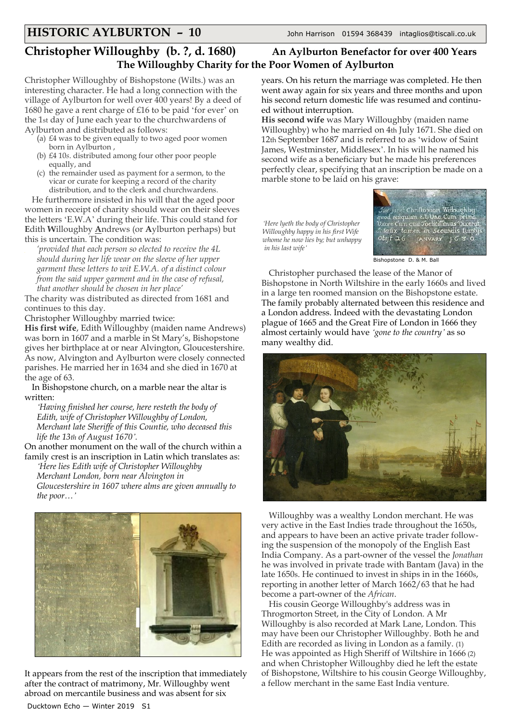## **Christopher Willoughby (b. ?, d. 1680) An Aylburton Benefactor for over 400 Years The Willoughby Charity for the Poor Women of Aylburton**

Christopher Willoughby of Bishopstone (Wilts.) was an interesting character. He had a long connection with the village of Aylburton for well over 400 years! By a deed of 1680 he gave a rent charge of £16 to be paid 'for ever' on the 1st day of June each year to the churchwardens of Aylburton and distributed as follows:

- (a) £4 was to be given equally to two aged poor women born in Aylburton ,
- (b) £4 10*s*. distributed among four other poor people equally, and
- (c) the remainder used as payment for a sermon, to the vicar or curate for keeping a record of the charity distribution, and to the clerk and churchwardens.

He furthermore insisted in his will that the aged poor women in receipt of charity should wear on their sleeves the letters 'E.W.A' during their life. This could stand for **E**dith **W**illoughby **A**ndrews (or **A**ylburton perhaps) but this is uncertain. The condition was:

*'provided that each person so elected to receive the 4L should during her life wear on the sleeve of her upper garment these letters to wit E.W.A. of a distinct colour from the said upper garment and in the case of refusal, that another should be chosen in her place'*

The charity was distributed as directed from 1681 and continues to this day.

Christopher Willoughby married twice:

**His first wife**, Edith Willoughby (maiden name Andrews) was born in 1607 and a marble in St Mary's, Bishopstone gives her birthplace at or near Alvington, Gloucestershire. As now, Alvington and Aylburton were closely connected parishes. He married her in 1634 and she died in 1670 at the age of 63.

In Bishopstone church, on a marble near the altar is written:

*'Having finished her course, here resteth the body of Edith, wife of Christopher Willoughby of London, Merchant late Sheriffe of this Countie, who deceased this life the 13th of August 1670'.*

On another monument on the wall of the church within a family crest is an inscription in Latin which translates as:

*'Here lies Edith wife of Christopher Willoughby Merchant London, born near Alvington in Gloucestershire in 1607 where alms are given annually to the poor…'*



It appears from the rest of the inscription that immediately after the contract of matrimony, Mr. Willoughby went abroad on mercantile business and was absent for six Ducktown Echo — Winter 2019 S1

years. On his return the marriage was completed. He then went away again for six years and three months and upon his second return domestic life was resumed and continued without interruption.

**His second wife** was Mary Willoughby (maiden name Willoughby) who he married on 4th July 1671. She died on 12th September 1687 and is referred to as 'widow of Saint James, Westminster, Middlesex'. In his will he named his second wife as a beneficiary but he made his preferences perfectly clear, specifying that an inscription be made on a marble stone to be laid on his grave:

*'Here lyeth the body of Christopher Willoughby happy in his first Wife whome he now lies by; but unhappy in his last wife'*



Bishopstone D. & M. Ball

Christopher purchased the lease of the Manor of Bishopstone in North Wiltshire in the early 1660s and lived in a large ten roomed mansion on the Bishopstone estate. The family probably alternated between this residence and a London address. Indeed with the devastating London plague of 1665 and the Great Fire of London in 1666 they almost certainly would have *'gone to the country'* as so many wealthy did.



Willoughby was a wealthy London merchant. He was very active in the East Indies trade throughout the 1650s, and appears to have been an active private trader following the suspension of the monopoly of the English East India Company. As a part-owner of the vessel the *Jonathan* he was involved in private trade with Bantam (Java) in the late 1650s. He continued to invest in ships in in the 1660s, reporting in another letter of March 1662/63 that he had become a part-owner of the *African*.

His cousin George Willoughby's address was in Throgmorton Street, in the City of London. A Mr Willoughby is also recorded at Mark Lane, London. This may have been our Christopher Willoughby. Both he and Edith are recorded as living in London as a family. (1) He was appointed as High Sheriff of Wiltshire in 1666 (2) and when Christopher Willoughby died he left the estate of Bishopstone, Wiltshire to his cousin George Willoughby, a fellow merchant in the same East India venture.